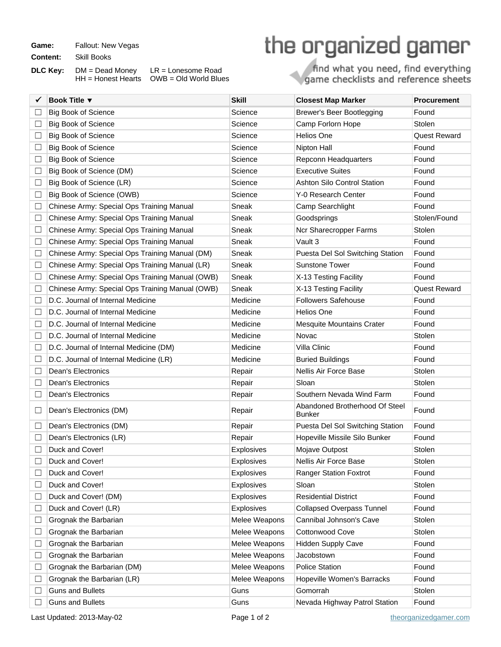**Game:** Fallout: New Vegas

**Content:** Skill Books

**DLC Key:** DM = Dead Money HH = Honest Hearts OWB = Old World Blues LR = Lonesome Road

## the organized gamer

find what you need, find everything<br>game checklists and reference sheets

| ✔      | <b>Book Title ▼</b>                             | <b>Skill</b>      | <b>Closest Map Marker</b>                | Procurement         |
|--------|-------------------------------------------------|-------------------|------------------------------------------|---------------------|
|        | <b>Big Book of Science</b>                      | Science           | Brewer's Beer Bootlegging                | Found               |
| ⊔      | <b>Big Book of Science</b>                      | Science           | Camp Forlorn Hope                        | Stolen              |
| ⊔      | <b>Big Book of Science</b>                      | Science           | Helios One                               | <b>Quest Reward</b> |
| $\Box$ | <b>Big Book of Science</b>                      | Science           | Nipton Hall                              | Found               |
| ப      | <b>Big Book of Science</b>                      | Science           | Repconn Headquarters                     | Found               |
| ∟      | Big Book of Science (DM)                        | Science           | <b>Executive Suites</b>                  | Found               |
| $\Box$ | Big Book of Science (LR)                        | Science           | Ashton Silo Control Station              | Found               |
| ⊔      | Big Book of Science (OWB)                       | Science           | Y-0 Research Center                      | Found               |
| ⊔      | Chinese Army: Special Ops Training Manual       | Sneak             | Camp Searchlight                         | Found               |
| $\Box$ | Chinese Army: Special Ops Training Manual       | Sneak             | Goodsprings                              | Stolen/Found        |
| ∟      | Chinese Army: Special Ops Training Manual       | Sneak             | Ncr Sharecropper Farms                   | Stolen              |
| $\Box$ | Chinese Army: Special Ops Training Manual       | Sneak             | Vault 3                                  | Found               |
| $\Box$ | Chinese Army: Special Ops Training Manual (DM)  | Sneak             | Puesta Del Sol Switching Station         | Found               |
| ⊔      | Chinese Army: Special Ops Training Manual (LR)  | Sneak             | Sunstone Tower                           | Found               |
| $\Box$ | Chinese Army: Special Ops Training Manual (OWB) | Sneak             | X-13 Testing Facility                    | Found               |
| ∟      | Chinese Army: Special Ops Training Manual (OWB) | Sneak             | X-13 Testing Facility                    | <b>Quest Reward</b> |
| $\Box$ | D.C. Journal of Internal Medicine               | Medicine          | <b>Followers Safehouse</b>               | Found               |
| ⊔      | D.C. Journal of Internal Medicine               | Medicine          | Helios One                               | Found               |
| $\Box$ | D.C. Journal of Internal Medicine               | Medicine          | <b>Mesquite Mountains Crater</b>         | Found               |
| ப      | D.C. Journal of Internal Medicine               | Medicine          | Novac                                    | Stolen              |
| ∟      | D.C. Journal of Internal Medicine (DM)          | Medicine          | Villa Clinic                             | Found               |
| $\Box$ | D.C. Journal of Internal Medicine (LR)          | Medicine          | <b>Buried Buildings</b>                  | Found               |
| ⊔      | Dean's Electronics                              | Repair            | Nellis Air Force Base                    | Stolen              |
| $\Box$ | Dean's Electronics                              | Repair            | Sloan                                    | Stolen              |
| $\Box$ | Dean's Electronics                              | Repair            | Southern Nevada Wind Farm                | Found               |
| $\Box$ | Dean's Electronics (DM)                         | Repair            | Abandoned Brotherhood Of Steel<br>Bunker | Found               |
| $\Box$ | Dean's Electronics (DM)                         | Repair            | Puesta Del Sol Switching Station         | Found               |
| $\Box$ | Dean's Electronics (LR)                         | Repair            | Hopeville Missile Silo Bunker            | Found               |
| $\Box$ | Duck and Cover!                                 | Explosives        | Mojave Outpost                           | Stolen              |
|        | Duck and Cover!                                 | Explosives        | Nellis Air Force Base                    | Stolen              |
| ப      | Duck and Cover!                                 | <b>Explosives</b> | <b>Ranger Station Foxtrot</b>            | Found               |
| $\Box$ | Duck and Cover!                                 | Explosives        | Sloan                                    | Stolen              |
| $\Box$ | Duck and Cover! (DM)                            | <b>Explosives</b> | <b>Residential District</b>              | Found               |
| $\Box$ | Duck and Cover! (LR)                            | Explosives        | <b>Collapsed Overpass Tunnel</b>         | Found               |
| $\Box$ | Grognak the Barbarian                           | Melee Weapons     | Cannibal Johnson's Cave                  | Stolen              |
| $\Box$ | Grognak the Barbarian                           | Melee Weapons     | Cottonwood Cove                          | Stolen              |
| $\Box$ | Grognak the Barbarian                           | Melee Weapons     | <b>Hidden Supply Cave</b>                | Found               |
| $\Box$ | Grognak the Barbarian                           | Melee Weapons     | Jacobstown                               | Found               |
| ⊔      | Grognak the Barbarian (DM)                      | Melee Weapons     | Police Station                           | Found               |
| $\Box$ | Grognak the Barbarian (LR)                      | Melee Weapons     | Hopeville Women's Barracks               | Found               |
| ∟      | <b>Guns and Bullets</b>                         | Guns              | Gomorrah                                 | Stolen              |
| $\Box$ | <b>Guns and Bullets</b>                         | Guns              | Nevada Highway Patrol Station            | Found               |

Last Updated: 2013-May-02 **Page 1 of 2** Page 1 of 2 [theorganizedgamer.com](http://www.theorganizedgamer.com/)